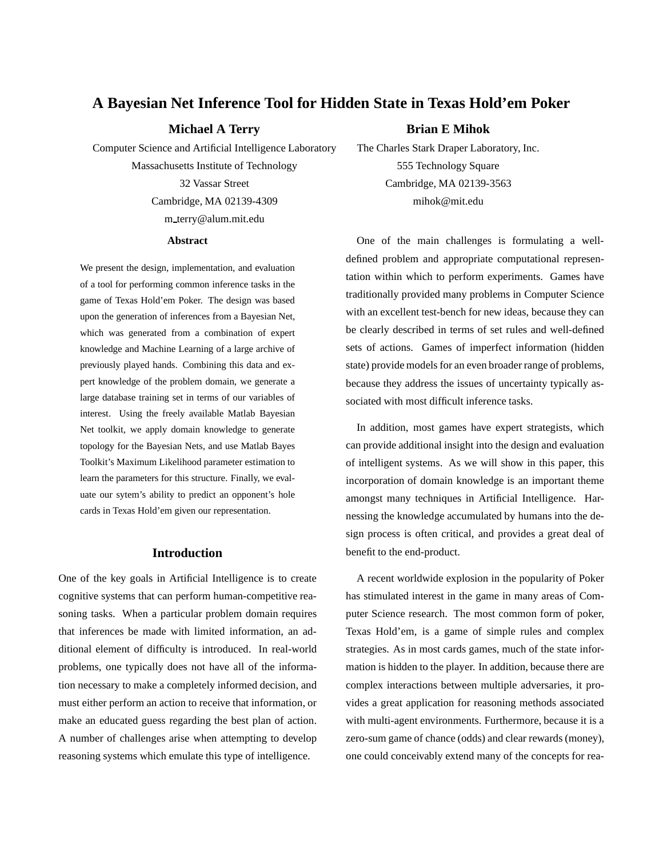# **A Bayesian Net Inference Tool for Hidden State in Texas Hold'em Poker**

# **Michael A Terry**

Computer Science and Artificial Intelligence Laboratory Massachusetts Institute of Technology 32 Vassar Street Cambridge, MA 02139-4309 m terry@alum.mit.edu

#### **Abstract**

We present the design, implementation, and evaluation of a tool for performing common inference tasks in the game of Texas Hold'em Poker. The design was based upon the generation of inferences from a Bayesian Net, which was generated from a combination of expert knowledge and Machine Learning of a large archive of previously played hands. Combining this data and expert knowledge of the problem domain, we generate a large database training set in terms of our variables of interest. Using the freely available Matlab Bayesian Net toolkit, we apply domain knowledge to generate topology for the Bayesian Nets, and use Matlab Bayes Toolkit's Maximum Likelihood parameter estimation to learn the parameters for this structure. Finally, we evaluate our sytem's ability to predict an opponent's hole cards in Texas Hold'em given our representation.

## **Introduction**

One of the key goals in Artificial Intelligence is to create cognitive systems that can perform human-competitive reasoning tasks. When a particular problem domain requires that inferences be made with limited information, an additional element of difficulty is introduced. In real-world problems, one typically does not have all of the information necessary to make a completely informed decision, and must either perform an action to receive that information, or make an educated guess regarding the best plan of action. A number of challenges arise when attempting to develop reasoning systems which emulate this type of intelligence.

#### **Brian E Mihok**

The Charles Stark Draper Laboratory, Inc. 555 Technology Square Cambridge, MA 02139-3563 mihok@mit.edu

One of the main challenges is formulating a welldefined problem and appropriate computational representation within which to perform experiments. Games have traditionally provided many problems in Computer Science with an excellent test-bench for new ideas, because they can be clearly described in terms of set rules and well-defined sets of actions. Games of imperfect information (hidden state) provide models for an even broader range of problems, because they address the issues of uncertainty typically associated with most difficult inference tasks.

In addition, most games have expert strategists, which can provide additional insight into the design and evaluation of intelligent systems. As we will show in this paper, this incorporation of domain knowledge is an important theme amongst many techniques in Artificial Intelligence. Harnessing the knowledge accumulated by humans into the design process is often critical, and provides a great deal of benefit to the end-product.

A recent worldwide explosion in the popularity of Poker has stimulated interest in the game in many areas of Computer Science research. The most common form of poker, Texas Hold'em, is a game of simple rules and complex strategies. As in most cards games, much of the state information is hidden to the player. In addition, because there are complex interactions between multiple adversaries, it provides a great application for reasoning methods associated with multi-agent environments. Furthermore, because it is a zero-sum game of chance (odds) and clear rewards (money), one could conceivably extend many of the concepts for rea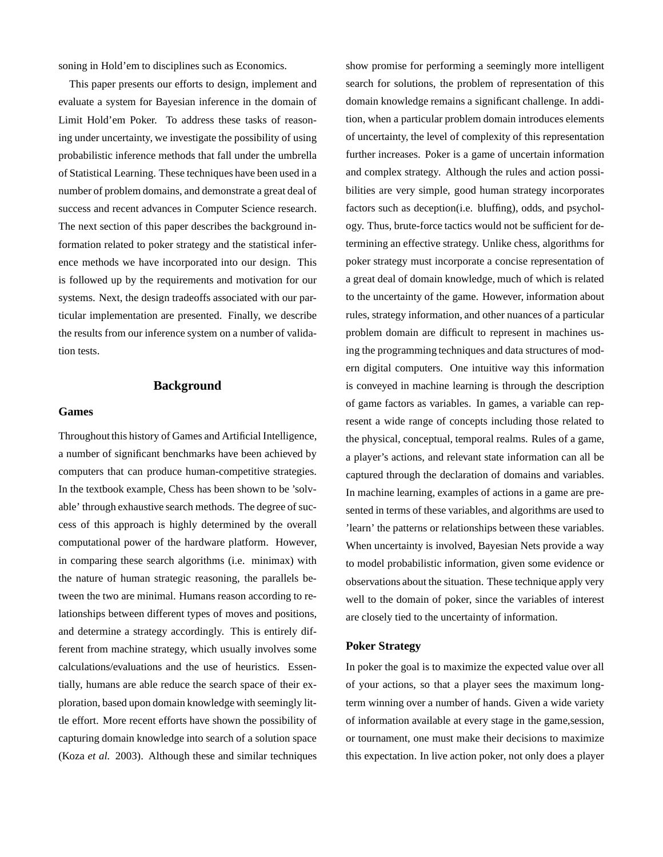soning in Hold'em to disciplines such as Economics.

This paper presents our efforts to design, implement and evaluate a system for Bayesian inference in the domain of Limit Hold'em Poker. To address these tasks of reasoning under uncertainty, we investigate the possibility of using probabilistic inference methods that fall under the umbrella of Statistical Learning. These techniques have been used in a number of problem domains, and demonstrate a great deal of success and recent advances in Computer Science research. The next section of this paper describes the background information related to poker strategy and the statistical inference methods we have incorporated into our design. This is followed up by the requirements and motivation for our systems. Next, the design tradeoffs associated with our particular implementation are presented. Finally, we describe the results from our inference system on a number of validation tests.

# **Background**

#### **Games**

Throughout this history of Games and Artificial Intelligence, a number of significant benchmarks have been achieved by computers that can produce human-competitive strategies. In the textbook example, Chess has been shown to be 'solvable' through exhaustive search methods. The degree of success of this approach is highly determined by the overall computational power of the hardware platform. However, in comparing these search algorithms (i.e. minimax) with the nature of human strategic reasoning, the parallels between the two are minimal. Humans reason according to relationships between different types of moves and positions, and determine a strategy accordingly. This is entirely different from machine strategy, which usually involves some calculations/evaluations and the use of heuristics. Essentially, humans are able reduce the search space of their exploration, based upon domain knowledge with seemingly little effort. More recent efforts have shown the possibility of capturing domain knowledge into search of a solution space (Koza *et al.* 2003). Although these and similar techniques

show promise for performing a seemingly more intelligent search for solutions, the problem of representation of this domain knowledge remains a significant challenge. In addition, when a particular problem domain introduces elements of uncertainty, the level of complexity of this representation further increases. Poker is a game of uncertain information and complex strategy. Although the rules and action possibilities are very simple, good human strategy incorporates factors such as deception(i.e. bluffing), odds, and psychology. Thus, brute-force tactics would not be sufficient for determining an effective strategy. Unlike chess, algorithms for poker strategy must incorporate a concise representation of a great deal of domain knowledge, much of which is related to the uncertainty of the game. However, information about rules, strategy information, and other nuances of a particular problem domain are difficult to represent in machines using the programming techniques and data structures of modern digital computers. One intuitive way this information is conveyed in machine learning is through the description of game factors as variables. In games, a variable can represent a wide range of concepts including those related to the physical, conceptual, temporal realms. Rules of a game, a player's actions, and relevant state information can all be captured through the declaration of domains and variables. In machine learning, examples of actions in a game are presented in terms of these variables, and algorithms are used to 'learn' the patterns or relationships between these variables. When uncertainty is involved, Bayesian Nets provide a way to model probabilistic information, given some evidence or observations about the situation. These technique apply very well to the domain of poker, since the variables of interest are closely tied to the uncertainty of information.

### **Poker Strategy**

In poker the goal is to maximize the expected value over all of your actions, so that a player sees the maximum longterm winning over a number of hands. Given a wide variety of information available at every stage in the game,session, or tournament, one must make their decisions to maximize this expectation. In live action poker, not only does a player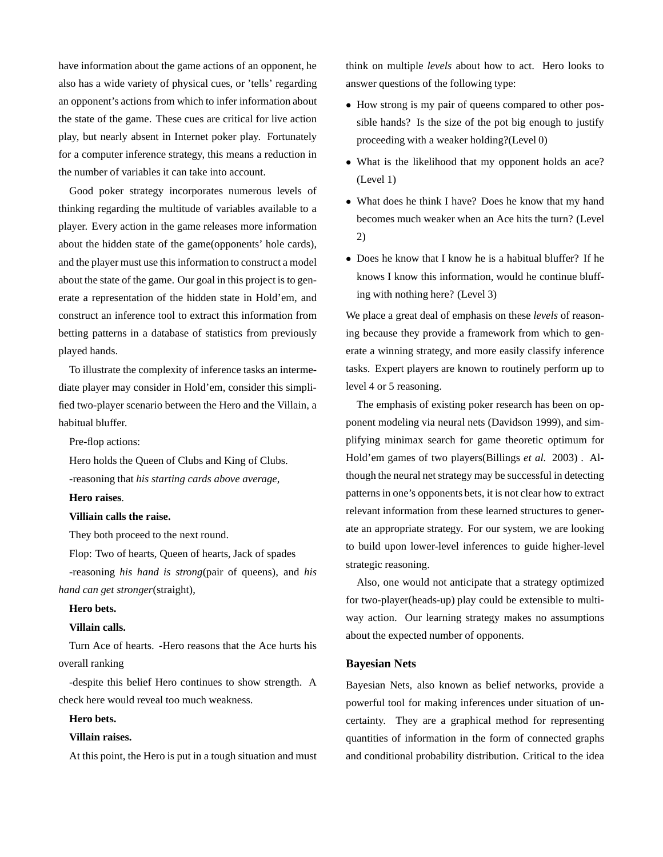have information about the game actions of an opponent, he also has a wide variety of physical cues, or 'tells' regarding an opponent's actions from which to infer information about the state of the game. These cues are critical for live action play, but nearly absent in Internet poker play. Fortunately for a computer inference strategy, this means a reduction in the number of variables it can take into account.

Good poker strategy incorporates numerous levels of thinking regarding the multitude of variables available to a player. Every action in the game releases more information about the hidden state of the game(opponents' hole cards), and the player must use this information to construct a model about the state of the game. Our goal in this project is to generate a representation of the hidden state in Hold'em, and construct an inference tool to extract this information from betting patterns in a database of statistics from previously played hands.

To illustrate the complexity of inference tasks an intermediate player may consider in Hold'em, consider this simplified two-player scenario between the Hero and the Villain, a habitual bluffer.

Pre-flop actions:

Hero holds the Queen of Clubs and King of Clubs. -reasoning that *his starting cards above average*,

#### **Hero raises**.

### **Villiain calls the raise.**

They both proceed to the next round.

Flop: Two of hearts, Queen of hearts, Jack of spades -reasoning *his hand is strong*(pair of queens), and *his hand can get stronger*(straight),

#### **Hero bets.**

### **Villain calls.**

Turn Ace of hearts. -Hero reasons that the Ace hurts his overall ranking

-despite this belief Hero continues to show strength. A check here would reveal too much weakness.

# **Hero bets.**

### **Villain raises.**

At this point, the Hero is put in a tough situation and must

think on multiple *levels* about how to act. Hero looks to answer questions of the following type:

- How strong is my pair of queens compared to other possible hands? Is the size of the pot big enough to justify proceeding with a weaker holding?(Level 0)
- What is the likelihood that my opponent holds an ace? (Level 1)
- What does he think I have? Does he know that my hand becomes much weaker when an Ace hits the turn? (Level 2)
- Does he know that I know he is a habitual bluffer? If he knows I know this information, would he continue bluffing with nothing here? (Level 3)

We place a great deal of emphasis on these *levels* of reasoning because they provide a framework from which to generate a winning strategy, and more easily classify inference tasks. Expert players are known to routinely perform up to level 4 or 5 reasoning.

The emphasis of existing poker research has been on opponent modeling via neural nets (Davidson 1999), and simplifying minimax search for game theoretic optimum for Hold'em games of two players(Billings *et al.* 2003) . Although the neural net strategy may be successful in detecting patterns in one's opponents bets, it is not clear how to extract relevant information from these learned structures to generate an appropriate strategy. For our system, we are looking to build upon lower-level inferences to guide higher-level strategic reasoning.

Also, one would not anticipate that a strategy optimized for two-player(heads-up) play could be extensible to multiway action. Our learning strategy makes no assumptions about the expected number of opponents.

#### **Bayesian Nets**

Bayesian Nets, also known as belief networks, provide a powerful tool for making inferences under situation of uncertainty. They are a graphical method for representing quantities of information in the form of connected graphs and conditional probability distribution. Critical to the idea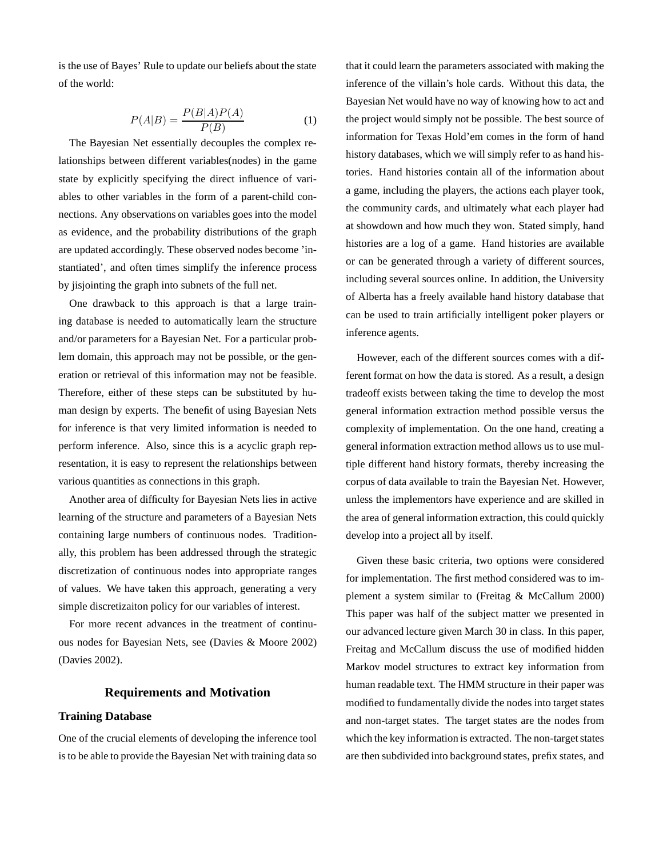is the use of Bayes' Rule to update our beliefs about the state of the world:

$$
P(A|B) = \frac{P(B|A)P(A)}{P(B)}\tag{1}
$$

The Bayesian Net essentially decouples the complex relationships between different variables(nodes) in the game state by explicitly specifying the direct influence of variables to other variables in the form of a parent-child connections. Any observations on variables goes into the model as evidence, and the probability distributions of the graph are updated accordingly. These observed nodes become 'instantiated', and often times simplify the inference process by jisjointing the graph into subnets of the full net.

One drawback to this approach is that a large training database is needed to automatically learn the structure and/or parameters for a Bayesian Net. For a particular problem domain, this approach may not be possible, or the generation or retrieval of this information may not be feasible. Therefore, either of these steps can be substituted by human design by experts. The benefit of using Bayesian Nets for inference is that very limited information is needed to perform inference. Also, since this is a acyclic graph representation, it is easy to represent the relationships between various quantities as connections in this graph.

Another area of difficulty for Bayesian Nets lies in active learning of the structure and parameters of a Bayesian Nets containing large numbers of continuous nodes. Traditionally, this problem has been addressed through the strategic discretization of continuous nodes into appropriate ranges of values. We have taken this approach, generating a very simple discretizaiton policy for our variables of interest.

For more recent advances in the treatment of continuous nodes for Bayesian Nets, see (Davies & Moore 2002) (Davies 2002).

# **Requirements and Motivation**

#### **Training Database**

One of the crucial elements of developing the inference tool is to be able to provide the Bayesian Net with training data so that it could learn the parameters associated with making the inference of the villain's hole cards. Without this data, the Bayesian Net would have no way of knowing how to act and the project would simply not be possible. The best source of information for Texas Hold'em comes in the form of hand history databases, which we will simply refer to as hand histories. Hand histories contain all of the information about a game, including the players, the actions each player took, the community cards, and ultimately what each player had at showdown and how much they won. Stated simply, hand histories are a log of a game. Hand histories are available or can be generated through a variety of different sources, including several sources online. In addition, the University of Alberta has a freely available hand history database that can be used to train artificially intelligent poker players or inference agents.

However, each of the different sources comes with a different format on how the data is stored. As a result, a design tradeoff exists between taking the time to develop the most general information extraction method possible versus the complexity of implementation. On the one hand, creating a general information extraction method allows us to use multiple different hand history formats, thereby increasing the corpus of data available to train the Bayesian Net. However, unless the implementors have experience and are skilled in the area of general information extraction, this could quickly develop into a project all by itself.

Given these basic criteria, two options were considered for implementation. The first method considered was to implement a system similar to (Freitag & McCallum 2000) This paper was half of the subject matter we presented in our advanced lecture given March 30 in class. In this paper, Freitag and McCallum discuss the use of modified hidden Markov model structures to extract key information from human readable text. The HMM structure in their paper was modified to fundamentally divide the nodes into target states and non-target states. The target states are the nodes from which the key information is extracted. The non-target states are then subdivided into background states, prefix states, and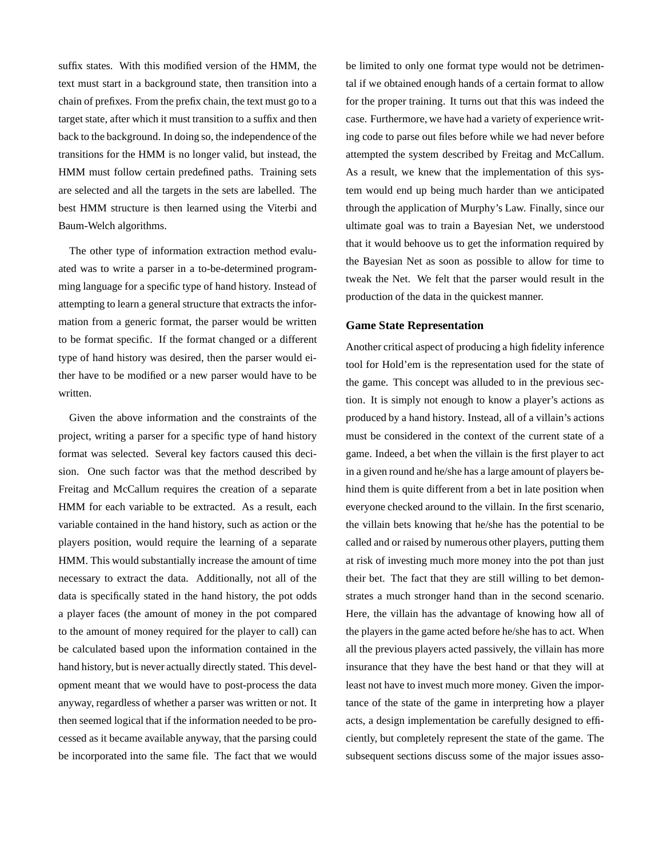suffix states. With this modified version of the HMM, the text must start in a background state, then transition into a chain of prefixes. From the prefix chain, the text must go to a target state, after which it must transition to a suffix and then back to the background. In doing so, the independence of the transitions for the HMM is no longer valid, but instead, the HMM must follow certain predefined paths. Training sets are selected and all the targets in the sets are labelled. The best HMM structure is then learned using the Viterbi and Baum-Welch algorithms.

The other type of information extraction method evaluated was to write a parser in a to-be-determined programming language for a specific type of hand history. Instead of attempting to learn a general structure that extracts the information from a generic format, the parser would be written to be format specific. If the format changed or a different type of hand history was desired, then the parser would either have to be modified or a new parser would have to be written.

Given the above information and the constraints of the project, writing a parser for a specific type of hand history format was selected. Several key factors caused this decision. One such factor was that the method described by Freitag and McCallum requires the creation of a separate HMM for each variable to be extracted. As a result, each variable contained in the hand history, such as action or the players position, would require the learning of a separate HMM. This would substantially increase the amount of time necessary to extract the data. Additionally, not all of the data is specifically stated in the hand history, the pot odds a player faces (the amount of money in the pot compared to the amount of money required for the player to call) can be calculated based upon the information contained in the hand history, but is never actually directly stated. This development meant that we would have to post-process the data anyway, regardless of whether a parser was written or not. It then seemed logical that if the information needed to be processed as it became available anyway, that the parsing could be incorporated into the same file. The fact that we would be limited to only one format type would not be detrimental if we obtained enough hands of a certain format to allow for the proper training. It turns out that this was indeed the case. Furthermore, we have had a variety of experience writing code to parse out files before while we had never before attempted the system described by Freitag and McCallum. As a result, we knew that the implementation of this system would end up being much harder than we anticipated through the application of Murphy's Law. Finally, since our ultimate goal was to train a Bayesian Net, we understood that it would behoove us to get the information required by the Bayesian Net as soon as possible to allow for time to tweak the Net. We felt that the parser would result in the production of the data in the quickest manner.

#### **Game State Representation**

Another critical aspect of producing a high fidelity inference tool for Hold'em is the representation used for the state of the game. This concept was alluded to in the previous section. It is simply not enough to know a player's actions as produced by a hand history. Instead, all of a villain's actions must be considered in the context of the current state of a game. Indeed, a bet when the villain is the first player to act in a given round and he/she has a large amount of players behind them is quite different from a bet in late position when everyone checked around to the villain. In the first scenario, the villain bets knowing that he/she has the potential to be called and or raised by numerous other players, putting them at risk of investing much more money into the pot than just their bet. The fact that they are still willing to bet demonstrates a much stronger hand than in the second scenario. Here, the villain has the advantage of knowing how all of the players in the game acted before he/she has to act. When all the previous players acted passively, the villain has more insurance that they have the best hand or that they will at least not have to invest much more money. Given the importance of the state of the game in interpreting how a player acts, a design implementation be carefully designed to efficiently, but completely represent the state of the game. The subsequent sections discuss some of the major issues asso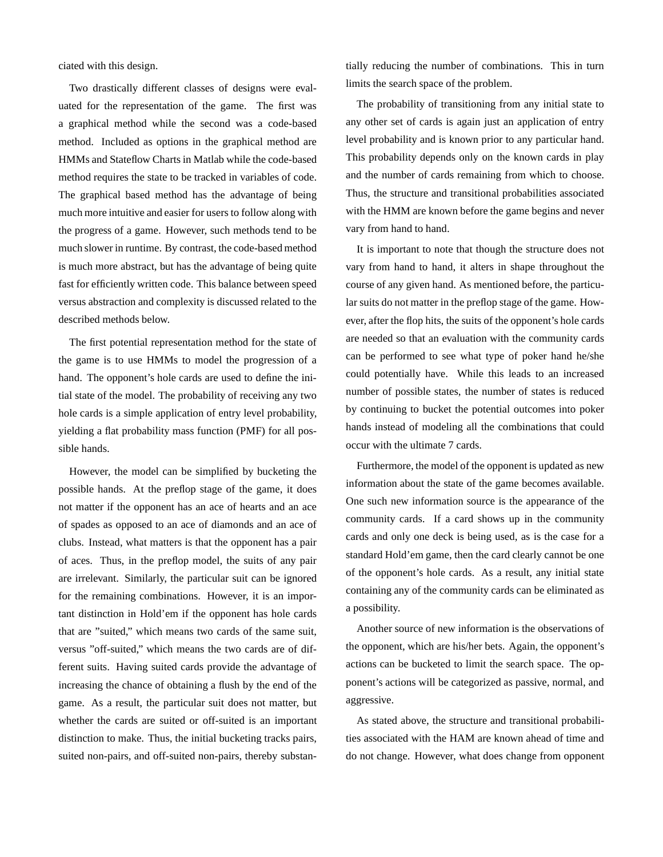ciated with this design.

Two drastically different classes of designs were evaluated for the representation of the game. The first was a graphical method while the second was a code-based method. Included as options in the graphical method are HMMs and Stateflow Charts in Matlab while the code-based method requires the state to be tracked in variables of code. The graphical based method has the advantage of being much more intuitive and easier for users to follow along with the progress of a game. However, such methods tend to be much slower in runtime. By contrast, the code-based method is much more abstract, but has the advantage of being quite fast for efficiently written code. This balance between speed versus abstraction and complexity is discussed related to the described methods below.

The first potential representation method for the state of the game is to use HMMs to model the progression of a hand. The opponent's hole cards are used to define the initial state of the model. The probability of receiving any two hole cards is a simple application of entry level probability, yielding a flat probability mass function (PMF) for all possible hands.

However, the model can be simplified by bucketing the possible hands. At the preflop stage of the game, it does not matter if the opponent has an ace of hearts and an ace of spades as opposed to an ace of diamonds and an ace of clubs. Instead, what matters is that the opponent has a pair of aces. Thus, in the preflop model, the suits of any pair are irrelevant. Similarly, the particular suit can be ignored for the remaining combinations. However, it is an important distinction in Hold'em if the opponent has hole cards that are "suited," which means two cards of the same suit, versus "off-suited," which means the two cards are of different suits. Having suited cards provide the advantage of increasing the chance of obtaining a flush by the end of the game. As a result, the particular suit does not matter, but whether the cards are suited or off-suited is an important distinction to make. Thus, the initial bucketing tracks pairs, suited non-pairs, and off-suited non-pairs, thereby substan-

tially reducing the number of combinations. This in turn limits the search space of the problem.

The probability of transitioning from any initial state to any other set of cards is again just an application of entry level probability and is known prior to any particular hand. This probability depends only on the known cards in play and the number of cards remaining from which to choose. Thus, the structure and transitional probabilities associated with the HMM are known before the game begins and never vary from hand to hand.

It is important to note that though the structure does not vary from hand to hand, it alters in shape throughout the course of any given hand. As mentioned before, the particular suits do not matter in the preflop stage of the game. However, after the flop hits, the suits of the opponent's hole cards are needed so that an evaluation with the community cards can be performed to see what type of poker hand he/she could potentially have. While this leads to an increased number of possible states, the number of states is reduced by continuing to bucket the potential outcomes into poker hands instead of modeling all the combinations that could occur with the ultimate 7 cards.

Furthermore, the model of the opponent is updated as new information about the state of the game becomes available. One such new information source is the appearance of the community cards. If a card shows up in the community cards and only one deck is being used, as is the case for a standard Hold'em game, then the card clearly cannot be one of the opponent's hole cards. As a result, any initial state containing any of the community cards can be eliminated as a possibility.

Another source of new information is the observations of the opponent, which are his/her bets. Again, the opponent's actions can be bucketed to limit the search space. The opponent's actions will be categorized as passive, normal, and aggressive.

As stated above, the structure and transitional probabilities associated with the HAM are known ahead of time and do not change. However, what does change from opponent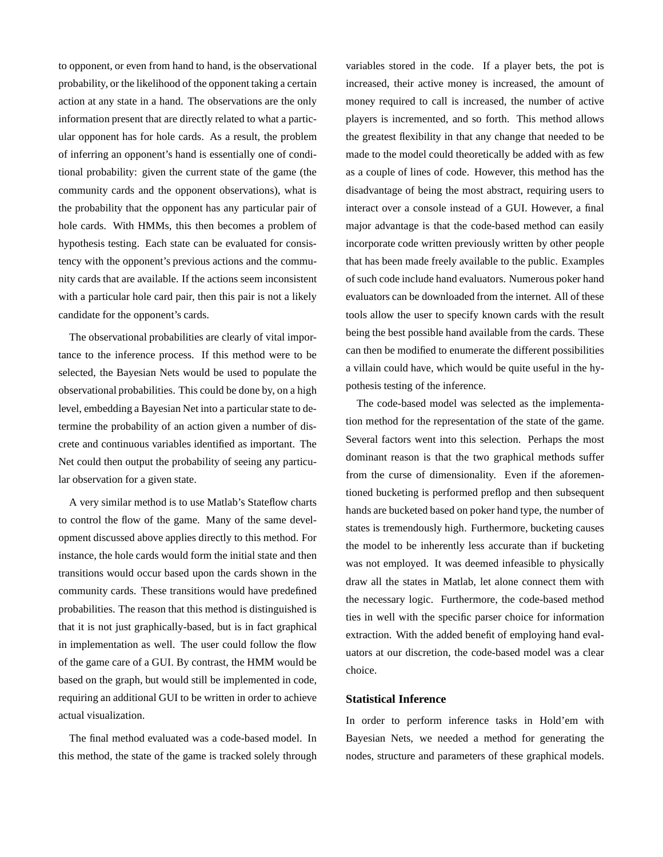to opponent, or even from hand to hand, is the observational probability, or the likelihood of the opponent taking a certain action at any state in a hand. The observations are the only information present that are directly related to what a particular opponent has for hole cards. As a result, the problem of inferring an opponent's hand is essentially one of conditional probability: given the current state of the game (the community cards and the opponent observations), what is the probability that the opponent has any particular pair of hole cards. With HMMs, this then becomes a problem of hypothesis testing. Each state can be evaluated for consistency with the opponent's previous actions and the community cards that are available. If the actions seem inconsistent with a particular hole card pair, then this pair is not a likely candidate for the opponent's cards.

The observational probabilities are clearly of vital importance to the inference process. If this method were to be selected, the Bayesian Nets would be used to populate the observational probabilities. This could be done by, on a high level, embedding a Bayesian Net into a particular state to determine the probability of an action given a number of discrete and continuous variables identified as important. The Net could then output the probability of seeing any particular observation for a given state.

A very similar method is to use Matlab's Stateflow charts to control the flow of the game. Many of the same development discussed above applies directly to this method. For instance, the hole cards would form the initial state and then transitions would occur based upon the cards shown in the community cards. These transitions would have predefined probabilities. The reason that this method is distinguished is that it is not just graphically-based, but is in fact graphical in implementation as well. The user could follow the flow of the game care of a GUI. By contrast, the HMM would be based on the graph, but would still be implemented in code, requiring an additional GUI to be written in order to achieve actual visualization.

The final method evaluated was a code-based model. In this method, the state of the game is tracked solely through

variables stored in the code. If a player bets, the pot is increased, their active money is increased, the amount of money required to call is increased, the number of active players is incremented, and so forth. This method allows the greatest flexibility in that any change that needed to be made to the model could theoretically be added with as few as a couple of lines of code. However, this method has the disadvantage of being the most abstract, requiring users to interact over a console instead of a GUI. However, a final major advantage is that the code-based method can easily incorporate code written previously written by other people that has been made freely available to the public. Examples of such code include hand evaluators. Numerous poker hand evaluators can be downloaded from the internet. All of these tools allow the user to specify known cards with the result being the best possible hand available from the cards. These can then be modified to enumerate the different possibilities a villain could have, which would be quite useful in the hypothesis testing of the inference.

The code-based model was selected as the implementation method for the representation of the state of the game. Several factors went into this selection. Perhaps the most dominant reason is that the two graphical methods suffer from the curse of dimensionality. Even if the aforementioned bucketing is performed preflop and then subsequent hands are bucketed based on poker hand type, the number of states is tremendously high. Furthermore, bucketing causes the model to be inherently less accurate than if bucketing was not employed. It was deemed infeasible to physically draw all the states in Matlab, let alone connect them with the necessary logic. Furthermore, the code-based method ties in well with the specific parser choice for information extraction. With the added benefit of employing hand evaluators at our discretion, the code-based model was a clear choice.

### **Statistical Inference**

In order to perform inference tasks in Hold'em with Bayesian Nets, we needed a method for generating the nodes, structure and parameters of these graphical models.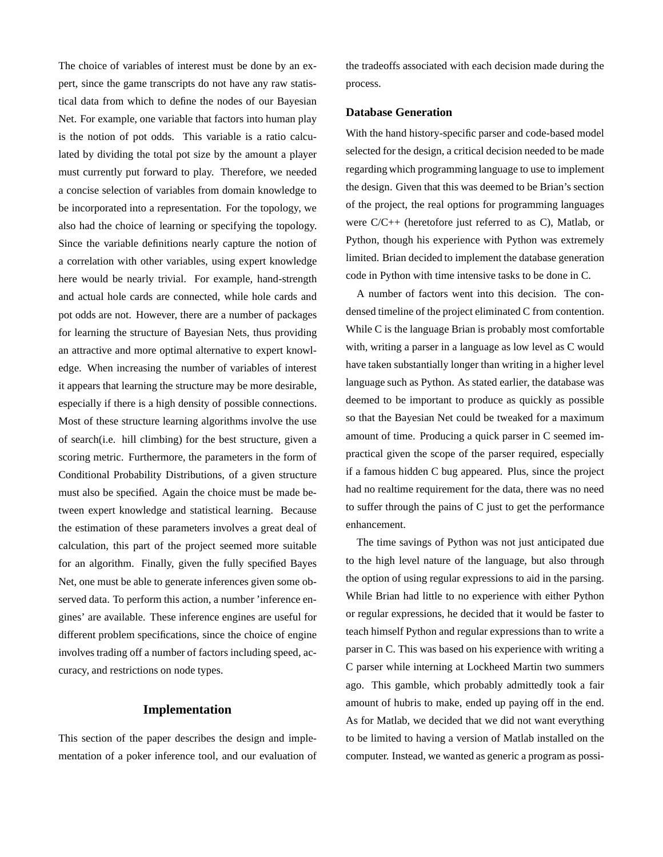The choice of variables of interest must be done by an expert, since the game transcripts do not have any raw statistical data from which to define the nodes of our Bayesian Net. For example, one variable that factors into human play is the notion of pot odds. This variable is a ratio calculated by dividing the total pot size by the amount a player must currently put forward to play. Therefore, we needed a concise selection of variables from domain knowledge to be incorporated into a representation. For the topology, we also had the choice of learning or specifying the topology. Since the variable definitions nearly capture the notion of a correlation with other variables, using expert knowledge here would be nearly trivial. For example, hand-strength and actual hole cards are connected, while hole cards and pot odds are not. However, there are a number of packages for learning the structure of Bayesian Nets, thus providing an attractive and more optimal alternative to expert knowledge. When increasing the number of variables of interest it appears that learning the structure may be more desirable, especially if there is a high density of possible connections. Most of these structure learning algorithms involve the use of search(i.e. hill climbing) for the best structure, given a scoring metric. Furthermore, the parameters in the form of Conditional Probability Distributions, of a given structure must also be specified. Again the choice must be made between expert knowledge and statistical learning. Because the estimation of these parameters involves a great deal of calculation, this part of the project seemed more suitable for an algorithm. Finally, given the fully specified Bayes Net, one must be able to generate inferences given some observed data. To perform this action, a number 'inference engines' are available. These inference engines are useful for different problem specifications, since the choice of engine involves trading off a number of factors including speed, accuracy, and restrictions on node types.

### **Implementation**

This section of the paper describes the design and implementation of a poker inference tool, and our evaluation of

the tradeoffs associated with each decision made during the process.

### **Database Generation**

With the hand history-specific parser and code-based model selected for the design, a critical decision needed to be made regarding which programming language to use to implement the design. Given that this was deemed to be Brian's section of the project, the real options for programming languages were C/C++ (heretofore just referred to as C), Matlab, or Python, though his experience with Python was extremely limited. Brian decided to implement the database generation code in Python with time intensive tasks to be done in C.

A number of factors went into this decision. The condensed timeline of the project eliminated C from contention. While C is the language Brian is probably most comfortable with, writing a parser in a language as low level as C would have taken substantially longer than writing in a higher level language such as Python. As stated earlier, the database was deemed to be important to produce as quickly as possible so that the Bayesian Net could be tweaked for a maximum amount of time. Producing a quick parser in C seemed impractical given the scope of the parser required, especially if a famous hidden C bug appeared. Plus, since the project had no realtime requirement for the data, there was no need to suffer through the pains of C just to get the performance enhancement.

The time savings of Python was not just anticipated due to the high level nature of the language, but also through the option of using regular expressions to aid in the parsing. While Brian had little to no experience with either Python or regular expressions, he decided that it would be faster to teach himself Python and regular expressions than to write a parser in C. This was based on his experience with writing a C parser while interning at Lockheed Martin two summers ago. This gamble, which probably admittedly took a fair amount of hubris to make, ended up paying off in the end. As for Matlab, we decided that we did not want everything to be limited to having a version of Matlab installed on the computer. Instead, we wanted as generic a program as possi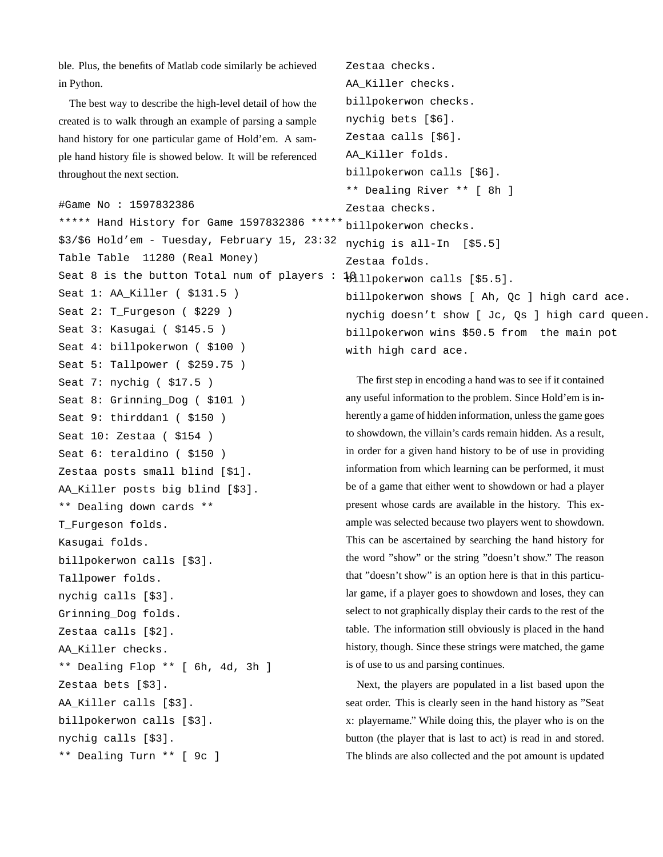ble. Plus, the benefits of Matlab code similarly be achieved in Python.

The best way to describe the high-level detail of how the created is to walk through an example of parsing a sample hand history for one particular game of Hold'em. A sample hand history file is showed below. It will be referenced throughout the next section.

```
#Game No : 1597832386
```
\*\*\*\*\* Hand History for Game 1597832386 \*\*\*\*\* \$3/\$6 Hold'em - Tuesday, February 15, 23:32 Table Table 11280 (Real Money) Seat 8 is the button Total num of players :  $\frac{10}{100}$  (2011) [85.5]. Seat 1: AA Killer ( \$131.5 ) Seat 2: T Furgeson ( \$229 ) Seat 3: Kasugai ( \$145.5 ) Seat 4: billpokerwon ( \$100 ) Seat 5: Tallpower ( \$259.75 ) Seat 7: nychig ( \$17.5 ) Seat 8: Grinning\_Dog ( \$101 ) Seat 9: thirddan1 (\$150) Seat 10: Zestaa ( \$154 ) Seat 6: teraldino ( \$150 ) Zestaa posts small blind [\$1]. AA Killer posts big blind [\$3]. \*\* Dealing down cards \*\* T Furgeson folds. Kasugai folds. billpokerwon calls [\$3]. Tallpower folds. nychig calls [\$3]. Grinning\_Dog folds. Zestaa calls [\$2]. AA Killer checks. \*\* Dealing Flop \*\* [ 6h, 4d, 3h ] Zestaa bets [\$3]. AA Killer calls [\$3]. billpokerwon calls [\$3]. nychig calls [\$3]. \*\* Dealing Turn \*\* [ 9c ]

```
AA Killer checks.
billpokerwon checks.
nychig bets [$6].
Zestaa calls [$6].
AA_Killer folds.
billpokerwon calls [$6].
** Dealing River ** [ 8h ]
Zestaa checks.
billpokerwon checks.
nychig is all-In [$5.5]
Zestaa folds.
billpokerwon shows [ Ah, Qc ] high card ace.
nychig doesn't show [ Jc, Qs ] high card queen.
billpokerwon wins $50.5 from the main pot
with high card ace.
```
Zestaa checks.

The first step in encoding a hand was to see if it contained any useful information to the problem. Since Hold'em is inherently a game of hidden information, unless the game goes to showdown, the villain's cards remain hidden. As a result, in order for a given hand history to be of use in providing information from which learning can be performed, it must be of a game that either went to showdown or had a player present whose cards are available in the history. This example was selected because two players went to showdown. This can be ascertained by searching the hand history for the word "show" or the string "doesn't show." The reason that "doesn't show" is an option here is that in this particular game, if a player goes to showdown and loses, they can select to not graphically display their cards to the rest of the table. The information still obviously is placed in the hand history, though. Since these strings were matched, the game is of use to us and parsing continues.

Next, the players are populated in a list based upon the seat order. This is clearly seen in the hand history as "Seat x: playername." While doing this, the player who is on the button (the player that is last to act) is read in and stored. The blinds are also collected and the pot amount is updated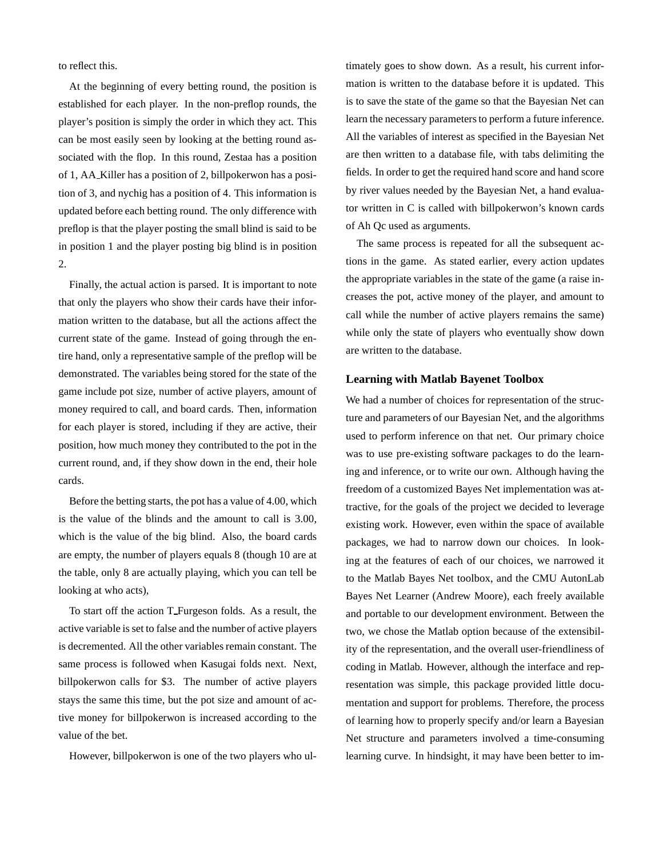to reflect this.

At the beginning of every betting round, the position is established for each player. In the non-preflop rounds, the player's position is simply the order in which they act. This can be most easily seen by looking at the betting round associated with the flop. In this round, Zestaa has a position of 1, AA Killer has a position of 2, billpokerwon has a position of 3, and nychig has a position of 4. This information is updated before each betting round. The only difference with preflop is that the player posting the small blind is said to be in position 1 and the player posting big blind is in position 2.

Finally, the actual action is parsed. It is important to note that only the players who show their cards have their information written to the database, but all the actions affect the current state of the game. Instead of going through the entire hand, only a representative sample of the preflop will be demonstrated. The variables being stored for the state of the game include pot size, number of active players, amount of money required to call, and board cards. Then, information for each player is stored, including if they are active, their position, how much money they contributed to the pot in the current round, and, if they show down in the end, their hole cards.

Before the betting starts, the pot has a value of 4.00, which is the value of the blinds and the amount to call is 3.00, which is the value of the big blind. Also, the board cards are empty, the number of players equals 8 (though 10 are at the table, only 8 are actually playing, which you can tell be looking at who acts),

To start off the action T Furgeson folds. As a result, the active variable is set to false and the number of active players is decremented. All the other variables remain constant. The same process is followed when Kasugai folds next. Next, billpokerwon calls for \$3. The number of active players stays the same this time, but the pot size and amount of active money for billpokerwon is increased according to the value of the bet.

However, billpokerwon is one of the two players who ul-

timately goes to show down. As a result, his current information is written to the database before it is updated. This is to save the state of the game so that the Bayesian Net can learn the necessary parameters to perform a future inference. All the variables of interest as specified in the Bayesian Net are then written to a database file, with tabs delimiting the fields. In order to get the required hand score and hand score by river values needed by the Bayesian Net, a hand evaluator written in C is called with billpokerwon's known cards of Ah Qc used as arguments.

The same process is repeated for all the subsequent actions in the game. As stated earlier, every action updates the appropriate variables in the state of the game (a raise increases the pot, active money of the player, and amount to call while the number of active players remains the same) while only the state of players who eventually show down are written to the database.

#### **Learning with Matlab Bayenet Toolbox**

We had a number of choices for representation of the structure and parameters of our Bayesian Net, and the algorithms used to perform inference on that net. Our primary choice was to use pre-existing software packages to do the learning and inference, or to write our own. Although having the freedom of a customized Bayes Net implementation was attractive, for the goals of the project we decided to leverage existing work. However, even within the space of available packages, we had to narrow down our choices. In looking at the features of each of our choices, we narrowed it to the Matlab Bayes Net toolbox, and the CMU AutonLab Bayes Net Learner (Andrew Moore), each freely available and portable to our development environment. Between the two, we chose the Matlab option because of the extensibility of the representation, and the overall user-friendliness of coding in Matlab. However, although the interface and representation was simple, this package provided little documentation and support for problems. Therefore, the process of learning how to properly specify and/or learn a Bayesian Net structure and parameters involved a time-consuming learning curve. In hindsight, it may have been better to im-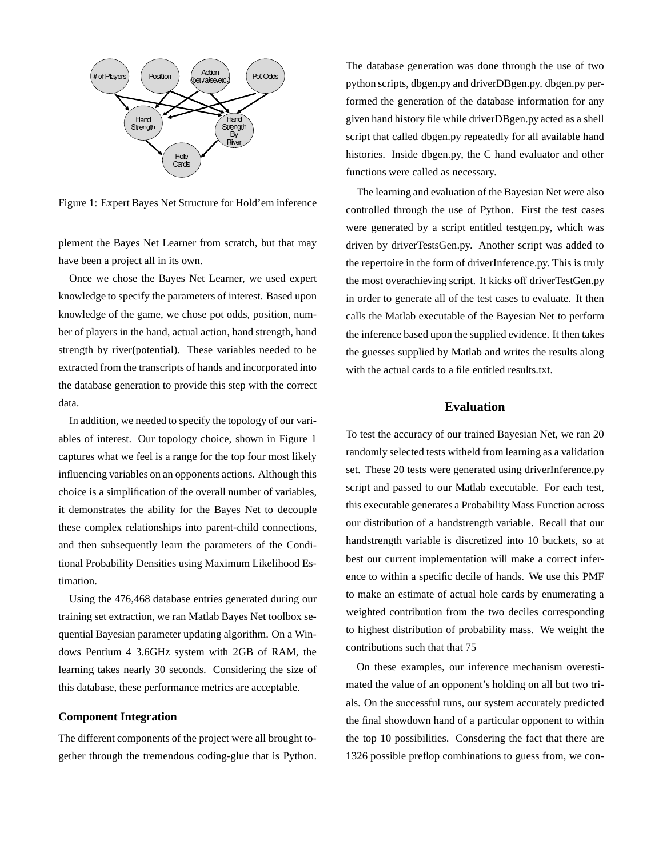

Figure 1: Expert Bayes Net Structure for Hold'em inference

plement the Bayes Net Learner from scratch, but that may have been a project all in its own.

Once we chose the Bayes Net Learner, we used expert knowledge to specify the parameters of interest. Based upon knowledge of the game, we chose pot odds, position, number of players in the hand, actual action, hand strength, hand strength by river(potential). These variables needed to be extracted from the transcripts of hands and incorporated into the database generation to provide this step with the correct data.

In addition, we needed to specify the topology of our variables of interest. Our topology choice, shown in Figure 1 captures what we feel is a range for the top four most likely influencing variables on an opponents actions. Although this choice is a simplification of the overall number of variables, it demonstrates the ability for the Bayes Net to decouple these complex relationships into parent-child connections, and then subsequently learn the parameters of the Conditional Probability Densities using Maximum Likelihood Estimation.

Using the 476,468 database entries generated during our training set extraction, we ran Matlab Bayes Net toolbox sequential Bayesian parameter updating algorithm. On a Windows Pentium 4 3.6GHz system with 2GB of RAM, the learning takes nearly 30 seconds. Considering the size of this database, these performance metrics are acceptable.

#### **Component Integration**

The different components of the project were all brought together through the tremendous coding-glue that is Python. The database generation was done through the use of two python scripts, dbgen.py and driverDBgen.py. dbgen.py performed the generation of the database information for any given hand history file while driverDBgen.py acted as a shell script that called dbgen.py repeatedly for all available hand histories. Inside dbgen.py, the C hand evaluator and other functions were called as necessary.

The learning and evaluation of the Bayesian Net were also controlled through the use of Python. First the test cases were generated by a script entitled testgen.py, which was driven by driverTestsGen.py. Another script was added to the repertoire in the form of driverInference.py. This is truly the most overachieving script. It kicks off driverTestGen.py in order to generate all of the test cases to evaluate. It then calls the Matlab executable of the Bayesian Net to perform the inference based upon the supplied evidence. It then takes the guesses supplied by Matlab and writes the results along with the actual cards to a file entitled results.txt.

# **Evaluation**

To test the accuracy of our trained Bayesian Net, we ran 20 randomly selected tests witheld from learning as a validation set. These 20 tests were generated using driverInference.py script and passed to our Matlab executable. For each test, this executable generates a Probability Mass Function across our distribution of a handstrength variable. Recall that our handstrength variable is discretized into 10 buckets, so at best our current implementation will make a correct inference to within a specific decile of hands. We use this PMF to make an estimate of actual hole cards by enumerating a weighted contribution from the two deciles corresponding to highest distribution of probability mass. We weight the contributions such that that 75

On these examples, our inference mechanism overestimated the value of an opponent's holding on all but two trials. On the successful runs, our system accurately predicted the final showdown hand of a particular opponent to within the top 10 possibilities. Consdering the fact that there are 1326 possible preflop combinations to guess from, we con-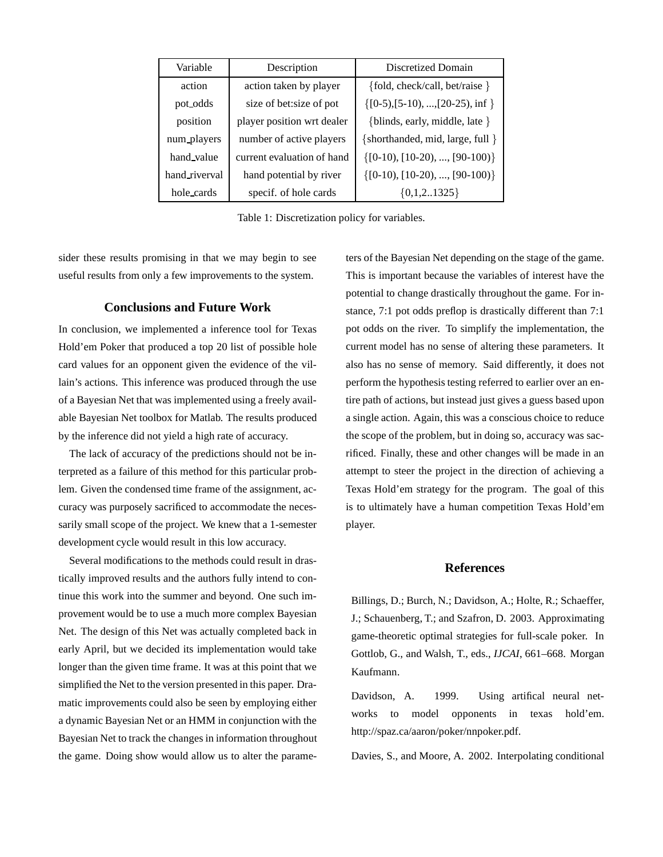| Variable      | Description                | Discretized Domain                         |
|---------------|----------------------------|--------------------------------------------|
| action        | action taken by player     | {fold, check/call, bet/raise }             |
| pot_odds      | size of bet: size of pot   | $\{[0-5), [5-10), , [20-25), \text{inf}\}$ |
| position      | player position wrt dealer | {blinds, early, middle, late }             |
| num_players   | number of active players   | {shorthanded, mid, large, full }           |
| hand_value    | current evaluation of hand | $\{[0-10), [10-20), , [90-100]\}$          |
| hand_riverval | hand potential by river    | $\{[0-10), [10-20), , [90-100]\}$          |
| hole_cards    | specif. of hole cards      | ${0,1,21325}$                              |

Table 1: Discretization policy for variables.

sider these results promising in that we may begin to see useful results from only a few improvements to the system.

# **Conclusions and Future Work**

In conclusion, we implemented a inference tool for Texas Hold'em Poker that produced a top 20 list of possible hole card values for an opponent given the evidence of the villain's actions. This inference was produced through the use of a Bayesian Net that was implemented using a freely available Bayesian Net toolbox for Matlab. The results produced by the inference did not yield a high rate of accuracy.

The lack of accuracy of the predictions should not be interpreted as a failure of this method for this particular problem. Given the condensed time frame of the assignment, accuracy was purposely sacrificed to accommodate the necessarily small scope of the project. We knew that a 1-semester development cycle would result in this low accuracy.

Several modifications to the methods could result in drastically improved results and the authors fully intend to continue this work into the summer and beyond. One such improvement would be to use a much more complex Bayesian Net. The design of this Net was actually completed back in early April, but we decided its implementation would take longer than the given time frame. It was at this point that we simplified the Net to the version presented in this paper. Dramatic improvements could also be seen by employing either a dynamic Bayesian Net or an HMM in conjunction with the Bayesian Net to track the changes in information throughout the game. Doing show would allow us to alter the parameters of the Bayesian Net depending on the stage of the game. This is important because the variables of interest have the potential to change drastically throughout the game. For instance, 7:1 pot odds preflop is drastically different than 7:1 pot odds on the river. To simplify the implementation, the current model has no sense of altering these parameters. It also has no sense of memory. Said differently, it does not perform the hypothesis testing referred to earlier over an entire path of actions, but instead just gives a guess based upon a single action. Again, this was a conscious choice to reduce the scope of the problem, but in doing so, accuracy was sacrificed. Finally, these and other changes will be made in an attempt to steer the project in the direction of achieving a Texas Hold'em strategy for the program. The goal of this is to ultimately have a human competition Texas Hold'em player.

#### **References**

Billings, D.; Burch, N.; Davidson, A.; Holte, R.; Schaeffer, J.; Schauenberg, T.; and Szafron, D. 2003. Approximating game-theoretic optimal strategies for full-scale poker. In Gottlob, G., and Walsh, T., eds., *IJCAI*, 661–668. Morgan Kaufmann.

Davidson, A. 1999. Using artifical neural networks to model opponents in texas hold'em. http://spaz.ca/aaron/poker/nnpoker.pdf.

Davies, S., and Moore, A. 2002. Interpolating conditional